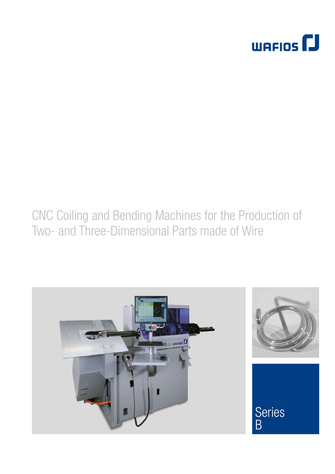

# CNC Coiling and Bending Machines for the Production of Two- and Three-Dimensional Parts made of Wire

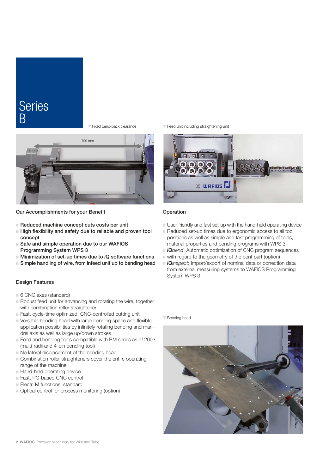### **Series** B

T Fixed bend-back clearance



Our Accomplishments for your Benefit

- $\blacksquare$  Reduced machine concept cuts costs per unit
- $\blacksquare$  High flexibility and safety due to reliable and proven tool concept
- $\blacksquare$  Safe and simple operation due to our WAFIOS Programming System WPS 3
- $\blacksquare$  Minimization of set-up times due to *iQ* software functions
- $\blacksquare$  Simple handling of wire, from infeed unit up to bending head

### Design Features

- $\Box$  6 CNC axes (standard)
- Robust feed unit for advancing and rotating the wire, together with combination roller straightener
- $\blacksquare$  Fast, cycle-time optimized, CNC-controlled cutting unit
- $\blacksquare$  Versatile bending head with large bending space and flexible application possibilities by infinitely rotating bending and mandrel axis as well as large up/down strokes
- $\Box$  Feed and bending tools compatible with BM series as of 2003 (multi-radii and 4-pin bending tool)
- $\blacksquare$  No lateral displacement of the bending head
- $\Box$  Combination roller straighteners cover the entire operating range of the machine
- $\blacksquare$  Hand-held operating device
- <sup>J</sup> Fast, PC-based CNC control
- Electr. M functions, standard
- $\Box$  Optical control for process monitoring (option)

 $\nabla$  Feed unit including straightening unit



### Operation

- $\blacksquare$  User-friendly and fast set-up with the hand-held operating device
- Reduced set-up times due to ergonomic access to all tool positions as well as simple and fast programming of tools, material properties and bending programs with WPS 3
- *iQbend:* Automatic optimization of CNC program sequences
- $\blacksquare$  with regard to the geometry of the bent part (option)
- <sup>J</sup> *iQinspect*: Import/export of nominal data or correction data from external measuring systems to WAFIOS Programming System WPS 3

 $\nabla$  Bending head

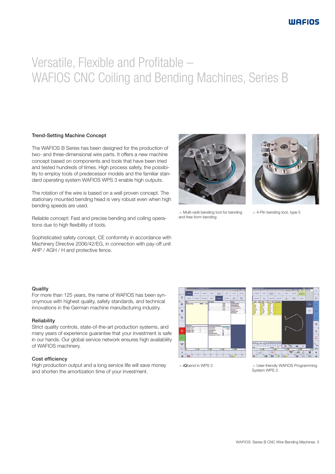# Versatile, Flexible and Profitable – WAFIOS CNC Coiling and Bending Machines, Series B

### Trend-Setting Machine Concept

The WAFIOS B Series has been designed for the production of two- and three-dimensional wire parts. It offers a new machine concept based on components and tools that have been tried and tested hundreds of times. High process safety, the possibility to employ tools of predecessor models and the familiar standard operating system WAFIOS WPS 3 enable high outputs.

The rotation of the wire is based on a well proven concept. The stationary mounted bending head is very robust even when high bending speeds are used.

Reliable concept: Fast and precise bending and coiling operations due to high flexibility of tools.

Sophisticated safety concept, CE conformity in accordance with Machinery Directive 2006/42/EG, in connection with pay-off unit AHP / AGH / H and protective fence.





 $\triangle$  Multi-radii bending tool for bending and free-form bending

 $\triangle$  4-Pin bending tool, type 5

### **Quality**

For more than 125 years, the name of WAFIOS has been synonymous with highest quality, safety standards, and technical innovations in the German machine manufacturing industry.

#### Reliability

Strict quality controls, state-of-the-art production systems, and many years of experience guarantee that your investment is safe in our hands. Our global service network ensures high availability of WAFIOS machinery.

#### Cost efficiency

High production output and a long service life will save money and shorten the amortization time of your investment.





S *iQbend* in WPS 3

**S User-friendly WAFIOS Programming** System WPS 3